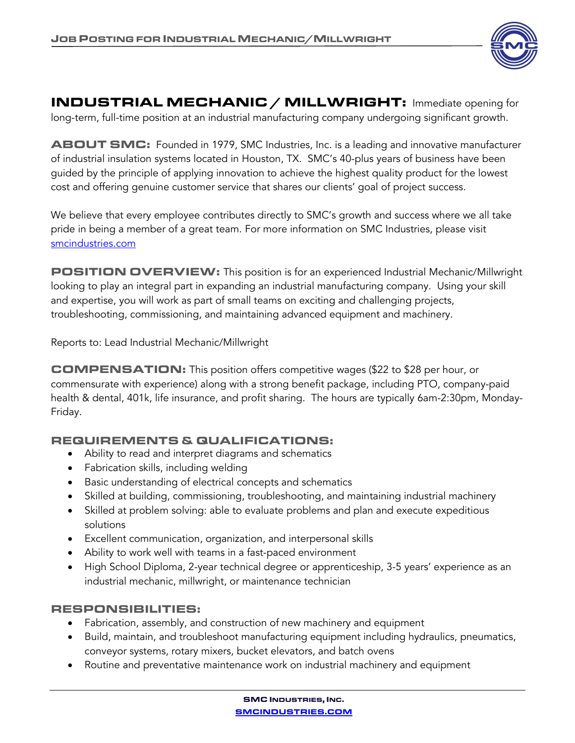

INDUSTRIAL MECHANIC / MILLWRIGHT: Immediate opening for long-term, full-time position at an industrial manufacturing company undergoing significant growth.

ABOUT SMC: Founded in 1979, SMC Industries, Inc. is a leading and innovative manufacturer of industrial insulation systems located in Houston, TX. SMC's 40-plus years of business have been guided by the principle of applying innovation to achieve the highest quality product for the lowest cost and offering genuine customer service that shares our clients' goal of project success.

We believe that every employee contributes directly to SMC's growth and success where we all take pride in being a member of a great team. For more information on SMC Industries, please visit smcindustries.com

POSITION OVERVIEW: This position is for an experienced Industrial Mechanic/Millwright looking to play an integral part in expanding an industrial manufacturing company. Using your skill and expertise, you will work as part of small teams on exciting and challenging projects, troubleshooting, commissioning, and maintaining advanced equipment and machinery.

Reports to: Lead Industrial Mechanic/Millwright

COMPENSATION: This position offers competitive wages (\$22 to \$28 per hour, or commensurate with experience) along with a strong benefit package, including PTO, company-paid health & dental, 401k, life insurance, and profit sharing. The hours are typically 6am-2:30pm, Monday-Friday.

## REQUIREMENTS & QUALIFICATIONS:

- Ability to read and interpret diagrams and schematics
- Fabrication skills, including welding
- Basic understanding of electrical concepts and schematics
- Skilled at building, commissioning, troubleshooting, and maintaining industrial machinery
- Skilled at problem solving: able to evaluate problems and plan and execute expeditious solutions
- Excellent communication, organization, and interpersonal skills
- Ability to work well with teams in a fast-paced environment
- High School Diploma, 2-year technical degree or apprenticeship, 3-5 years' experience as an industrial mechanic, millwright, or maintenance technician

## RESPONSIBILITIES:

- Fabrication, assembly, and construction of new machinery and equipment
- Build, maintain, and troubleshoot manufacturing equipment including hydraulics, pneumatics, conveyor systems, rotary mixers, bucket elevators, and batch ovens
- Routine and preventative maintenance work on industrial machinery and equipment